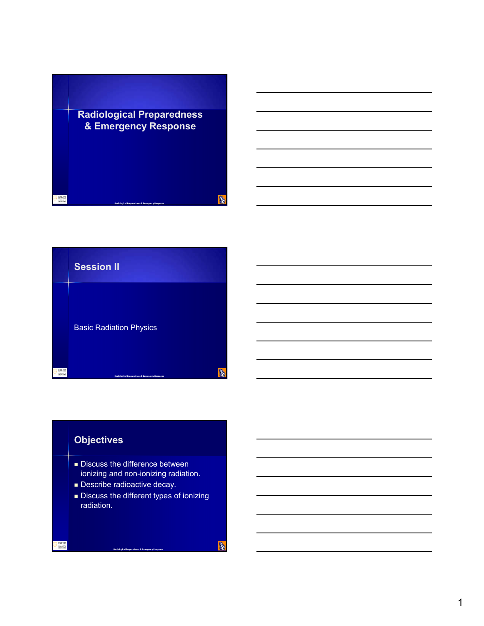



# **Objectives**

- **Discuss the difference between** ionizing and non-ionizing radiation.
- **Describe radioactive decay.**
- **Discuss the different types of ionizing** radiation.

**Radiological Preparedness & Emergency Response**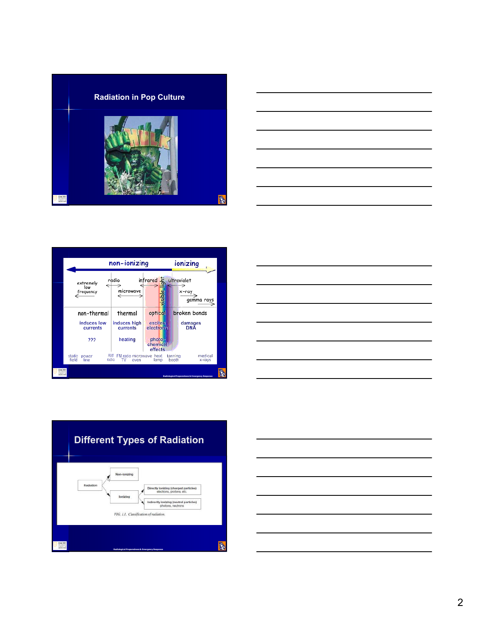









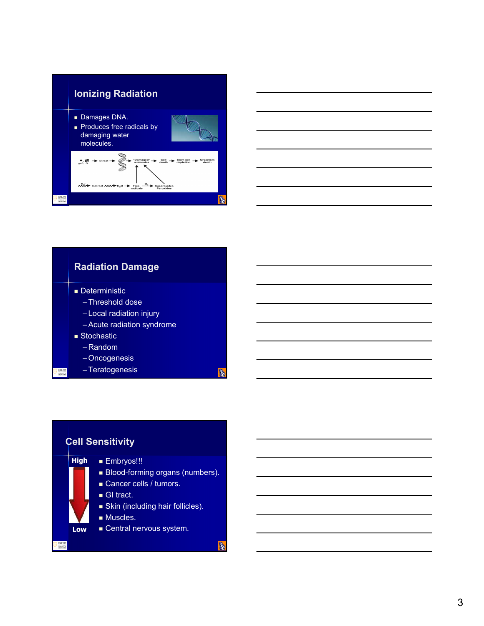





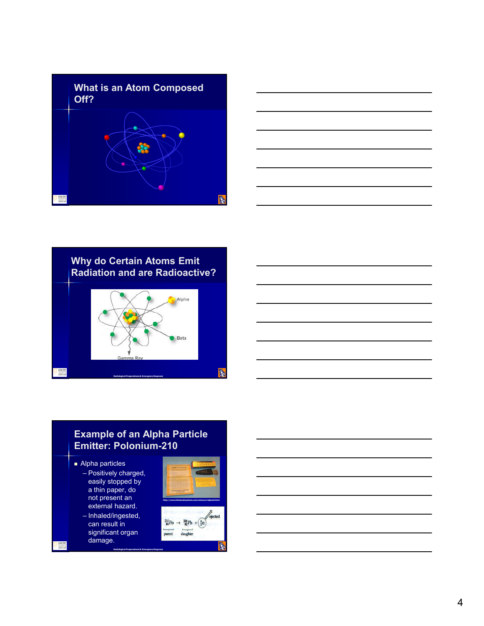







## **Example of an Alpha Particle Emitter: Polonium-210**

**Radiological Preparedness & Emergency Response**

- **Alpha particles** – Positively charged,
	- easily stopped by a thin paper, do not present an external hazard.
	- Inhaled/ingested, can result in significant organ damage.



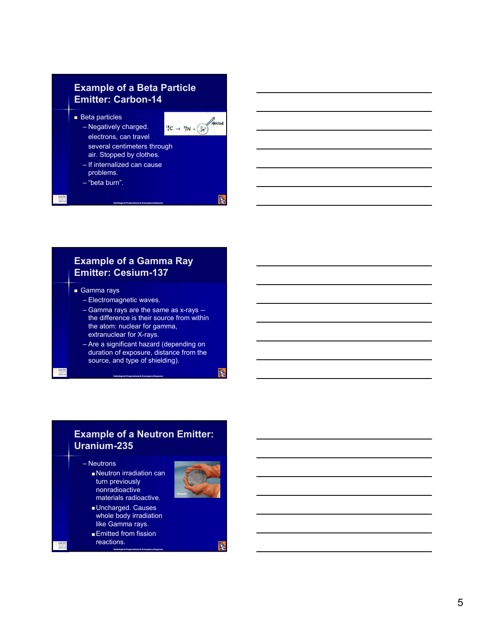## **Example of a Beta Particle Emitter: Carbon -14**

**Beta particles** – Negatively charged.



**B** 

R.

several centimeters through air. Stopped by clothes.

– If internalized can cause problems.

electrons, can travel

– "beta burn".



## **Example of a Gamma Ray Emitter: Cesium -137**

**Radiological Preparedness & Emergency Response**

- Gamma rays
	- Electromagnetic waves.
	- Gamma rays are the same as x -rays the difference is their source from within the atom: nuclear for gamma, extranuclear for X -rays.
	- Are a significant hazard (depending on duration of exposure, distance from the source, and type of shielding).

**Radiological Preparedness & Emergency Response**

#### **Example of a Neutron Emitter: Uranium -235**

#### – Neutrons

- Neutron irradiation can turn previously nonradioactive materials radioactive.
- 
- Uncharged. Causes whole body irradiation like Gamma rays.

**Radiological Preparedness & Emergency Response**

**Emitted from fission** reactions.

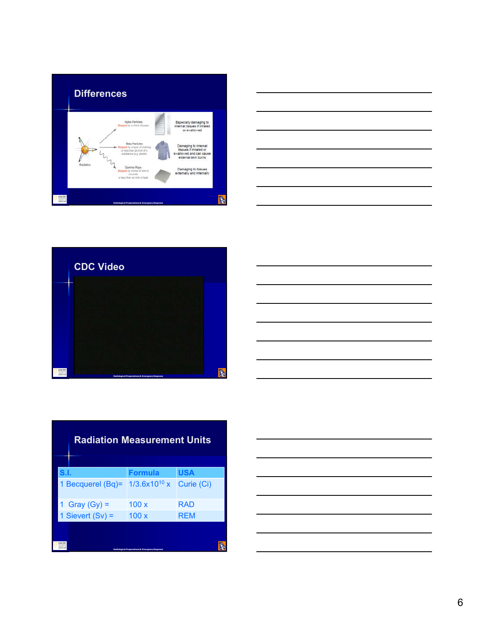







|                                              | <b>Radiation Measurement Units</b>                        |            |  |  |  |
|----------------------------------------------|-----------------------------------------------------------|------------|--|--|--|
| S.I.                                         | <b>Formula</b>                                            | <b>USA</b> |  |  |  |
| Becquerel (Bq)=                              | $1/3.6x10^{10}x$                                          | Curie (Ci) |  |  |  |
| Gray $(Gy)$ =                                | 100x                                                      | RAD        |  |  |  |
| 1 Sievert $(Sv)$ =                           | 100x                                                      | <b>RFM</b> |  |  |  |
| <b>EMORY</b><br>sempst at<br><b>CEDICINE</b> | <b>Radiological Preparedness &amp; Emergency Response</b> |            |  |  |  |

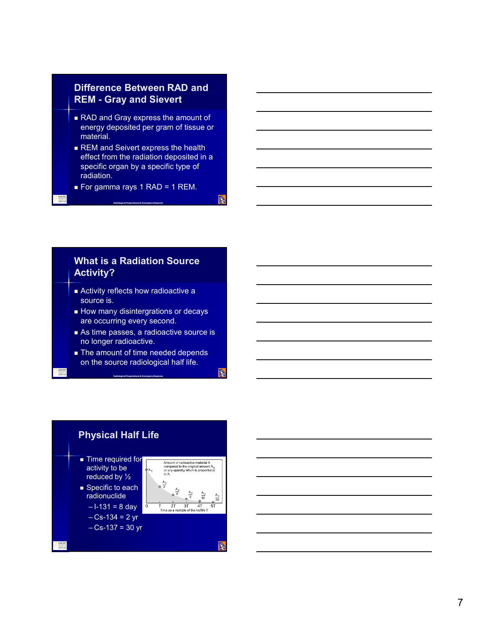#### **Difference Between RAD and REM - Gray and Sievert**

- RAD and Gray express the amount of energy deposited per gram of tissue or material.
- REM and Seivert express the health effect from the radiation deposited in a specific organ by a specific type of radiation.
- For gamma rays 1 RAD = 1 REM.

**Radiological Preparedness & Emergency Response**

**B** 

R.

#### **What is a Radiation Source Activity?**

- Activity reflects how radioactive a source is.
- **How many disintergrations or decays** are occurring every second.
- As time passes, a radioactive source is no longer radioactive.
- The amount of time needed depends on the source radiological half life.

**Radiological Preparedness & Emergency Response**

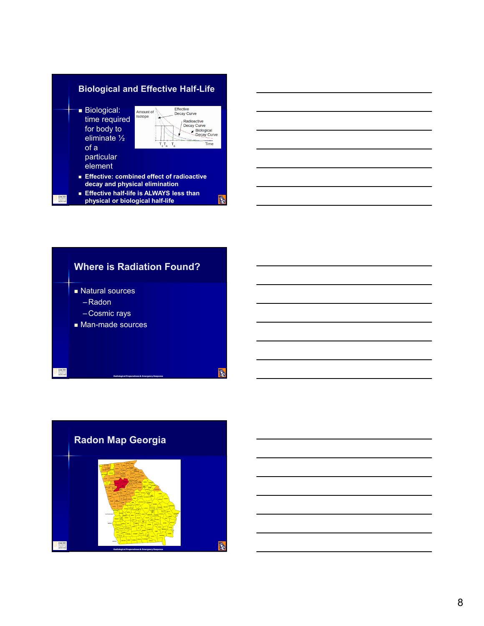



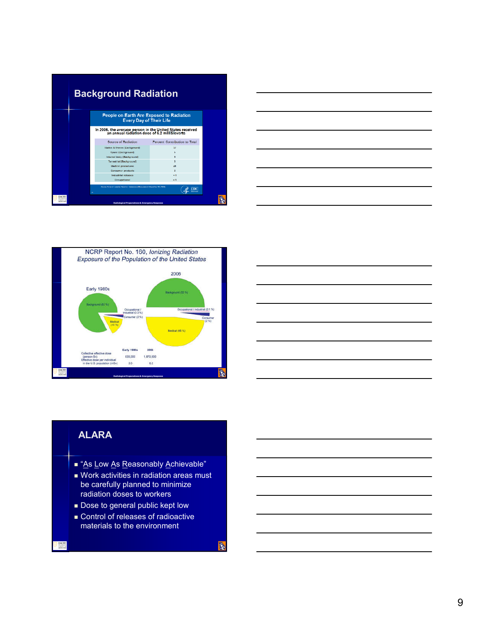|                   | <b>Background Radiation</b> |                                                                                                            |                               |  |  |
|-------------------|-----------------------------|------------------------------------------------------------------------------------------------------------|-------------------------------|--|--|
|                   |                             | People on Earth Are Exposed to Radiation<br><b>Every Day of Their Life</b>                                 |                               |  |  |
|                   |                             | In 2006, the average person in the United States received<br>an annual radiation dose of 6.2 milliSieverts |                               |  |  |
|                   |                             | <b>Source of Rediation</b>                                                                                 | Percent Contribution to Total |  |  |
|                   |                             | Radon & thoron (Background)                                                                                | 37                            |  |  |
|                   |                             | Space (Background)                                                                                         | ь                             |  |  |
|                   |                             | Internal body (Background)                                                                                 | ь                             |  |  |
|                   |                             | Terrestrial (Background)                                                                                   | 5                             |  |  |
|                   |                             | Medical procedures                                                                                         | 48                            |  |  |
|                   |                             | <b>Consumer products</b>                                                                                   | o,                            |  |  |
|                   |                             | Industrial releases                                                                                        | $\leq 1$                      |  |  |
|                   |                             | Occupational                                                                                               | $\leq 1$                      |  |  |
|                   |                             | SAUTO INTERNI LOUISIER HARROON (GEORGIO DE SIGONO VICENTE ADETA A<br>$\overline{DC}$<br>28                 |                               |  |  |
| FMOR'<br>MEDICINE |                             | <b>Radiological Preparedness &amp; Emergency Response</b>                                                  |                               |  |  |







#### **ALARA**

- "As Low As Reasonably Achievable"
- Work activities in radiation areas must be carefully planned to minimize radiation doses to workers
- **Dose to general public kept low**
- **Control of releases of radioactive** materials to the environment

**B**